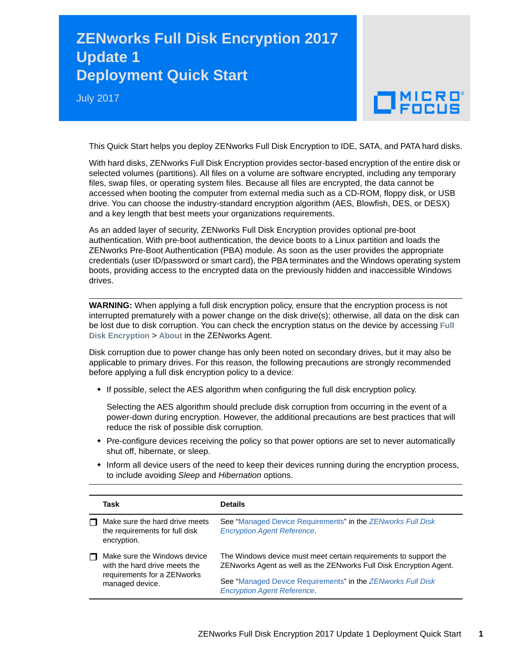## **ZENworks Full Disk Encryption 2017 Update 1 Deployment Quick Start**

July 2017

## $\Box$ MICRO

This Quick Start helps you deploy ZENworks Full Disk Encryption to IDE, SATA, and PATA hard disks.

With hard disks, ZENworks Full Disk Encryption provides sector-based encryption of the entire disk or selected volumes (partitions). All files on a volume are software encrypted, including any temporary files, swap files, or operating system files. Because all files are encrypted, the data cannot be accessed when booting the computer from external media such as a CD-ROM, floppy disk, or USB drive. You can choose the industry-standard encryption algorithm (AES, Blowfish, DES, or DESX) and a key length that best meets your organizations requirements.

As an added layer of security, ZENworks Full Disk Encryption provides optional pre-boot authentication. With pre-boot authentication, the device boots to a Linux partition and loads the ZENworks Pre-Boot Authentication (PBA) module. As soon as the user provides the appropriate credentials (user ID/password or smart card), the PBA terminates and the Windows operating system boots, providing access to the encrypted data on the previously hidden and inaccessible Windows drives.

**WARNING:** When applying a full disk encryption policy, ensure that the encryption process is not interrupted prematurely with a power change on the disk drive(s); otherwise, all data on the disk can be lost due to disk corruption. You can check the encryption status on the device by accessing **Full Disk Encryption** > **About** in the ZENworks Agent.

Disk corruption due to power change has only been noted on secondary drives, but it may also be applicable to primary drives. For this reason, the following precautions are strongly recommended before applying a full disk encryption policy to a device:

• If possible, select the AES algorithm when configuring the full disk encryption policy.

Selecting the AES algorithm should preclude disk corruption from occurring in the event of a power-down during encryption. However, the additional precautions are best practices that will reduce the risk of possible disk corruption.

- Pre-configure devices receiving the policy so that power options are set to never automatically shut off, hibernate, or sleep.
- $\bullet$  Inform all device users of the need to keep their devices running during the encryption process, to include avoiding *Sleep* and *Hibernation* options.

|   | Task                                                                                                            | <b>Details</b>                                                                                                                         |
|---|-----------------------------------------------------------------------------------------------------------------|----------------------------------------------------------------------------------------------------------------------------------------|
|   | Make sure the hard drive meets<br>the requirements for full disk<br>encryption.                                 | See "Managed Device Requirements" in the ZENworks Full Disk<br><b>Encryption Agent Reference.</b>                                      |
| П | Make sure the Windows device<br>with the hard drive meets the<br>requirements for a ZENworks<br>managed device. | The Windows device must meet certain requirements to support the<br>ZENworks Agent as well as the ZENworks Full Disk Encryption Agent. |
|   |                                                                                                                 | See "Managed Device Requirements" in the ZENworks Full Disk<br><b>Encryption Agent Reference.</b>                                      |